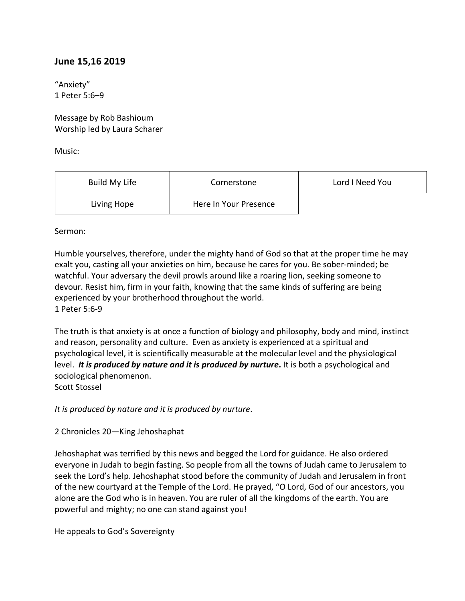## **June 15,16 2019**

"Anxiety" 1 Peter 5:6–9

Message by Rob Bashioum Worship led by Laura Scharer

Music:

| Build My Life | Cornerstone           | Lord I Need You |
|---------------|-----------------------|-----------------|
| Living Hope   | Here In Your Presence |                 |

Sermon:

Humble yourselves, therefore, under the mighty hand of God so that at the proper time he may exalt you, casting all your anxieties on him, because he cares for you. Be sober-minded; be watchful. Your adversary the devil prowls around like a roaring lion, seeking someone to devour. Resist him, firm in your faith, knowing that the same kinds of suffering are being experienced by your brotherhood throughout the world. 1 Peter 5:6-9

The truth is that anxiety is at once a function of biology and philosophy, body and mind, instinct and reason, personality and culture. Even as anxiety is experienced at a spiritual and psychological level, it is scientifically measurable at the molecular level and the physiological level. *It is produced by nature and it is produced by nurture***.** It is both a psychological and sociological phenomenon.

Scott Stossel

*It is produced by nature and it is produced by nurture*.

2 Chronicles 20—King Jehoshaphat

Jehoshaphat was terrified by this news and begged the Lord for guidance. He also ordered everyone in Judah to begin fasting. So people from all the towns of Judah came to Jerusalem to seek the Lord's help. Jehoshaphat stood before the community of Judah and Jerusalem in front of the new courtyard at the Temple of the Lord. He prayed, "O Lord, God of our ancestors, you alone are the God who is in heaven. You are ruler of all the kingdoms of the earth. You are powerful and mighty; no one can stand against you!

He appeals to God's Sovereignty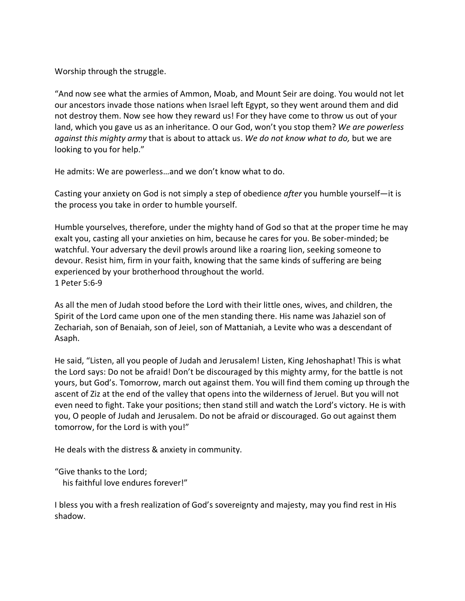Worship through the struggle.

"And now see what the armies of Ammon, Moab, and Mount Seir are doing. You would not let our ancestors invade those nations when Israel left Egypt, so they went around them and did not destroy them. Now see how they reward us! For they have come to throw us out of your land, which you gave us as an inheritance. O our God, won't you stop them? *We are powerless against this mighty army* that is about to attack us. *We do not know what to do,* but we are looking to you for help."

He admits: We are powerless…and we don't know what to do.

Casting your anxiety on God is not simply a step of obedience *after* you humble yourself—it is the process you take in order to humble yourself.

Humble yourselves, therefore, under the mighty hand of God so that at the proper time he may exalt you, casting all your anxieties on him, because he cares for you. Be sober-minded; be watchful. Your adversary the devil prowls around like a roaring lion, seeking someone to devour. Resist him, firm in your faith, knowing that the same kinds of suffering are being experienced by your brotherhood throughout the world. 1 Peter 5:6-9

As all the men of Judah stood before the Lord with their little ones, wives, and children, the Spirit of the Lord came upon one of the men standing there. His name was Jahaziel son of Zechariah, son of Benaiah, son of Jeiel, son of Mattaniah, a Levite who was a descendant of Asaph.

He said, "Listen, all you people of Judah and Jerusalem! Listen, King Jehoshaphat! This is what the Lord says: Do not be afraid! Don't be discouraged by this mighty army, for the battle is not yours, but God's. Tomorrow, march out against them. You will find them coming up through the ascent of Ziz at the end of the valley that opens into the wilderness of Jeruel. But you will not even need to fight. Take your positions; then stand still and watch the Lord's victory. He is with you, O people of Judah and Jerusalem. Do not be afraid or discouraged. Go out against them tomorrow, for the Lord is with you!"

He deals with the distress & anxiety in community.

"Give thanks to the Lord; his faithful love endures forever!"

I bless you with a fresh realization of God's sovereignty and majesty, may you find rest in His shadow.